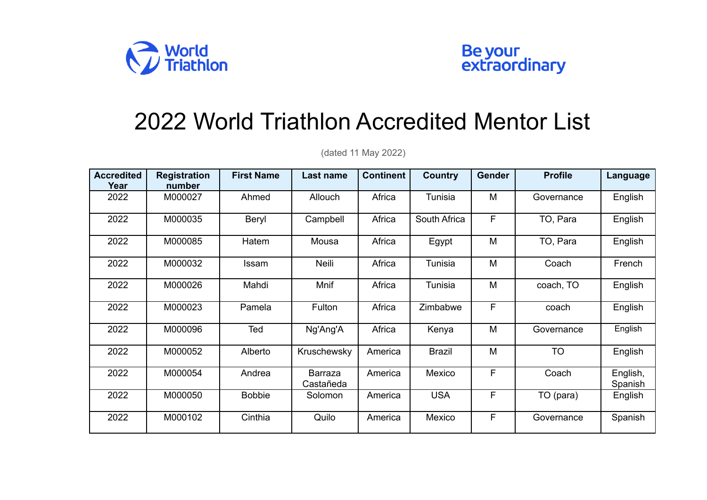



## 2022 World Triathlon Accredited Mentor List

**Accredited Year Registration number First Name Last name Continent Country Gender Profile Language** 2022 | M000027 | Ahmed | Allouch | Africa | Tunisia | M | Governance | English 2022 | M000035 | Beryl | Campbell | Africa | South Africa | F | TO, Para | English 2022 | M000085 | Hatem | Mousa | Africa | Egypt | M | TO, Para | English 2022 | M000032 | Issam | Neili | Africa | Tunisia | M | Coach | French 2022 | M000026 | Mahdi | Mnif | Africa | Tunisia | M | coach, TO | English 2022 | M000023 | Pamela | Fulton | Africa | Zimbabwe | F | coach | English 2022 | M000096 | Ted | Ng'Ang'A | Africa | Kenya | M | Governance | English 2022 | M000052 | Alberto |Kruschewsky America | Brazil | M | TO | English 2022 M000054 Andrea Barraza Castañeda America Mexico F Coach English, Spanish 2022 | M000050 | Bobbie | Solomon |America | USA | F | TO(para) | English 2022 | M000102 | Cinthia | Quilo |America | Mexico | F | Governance | Spanish

(dated 11 May 2022)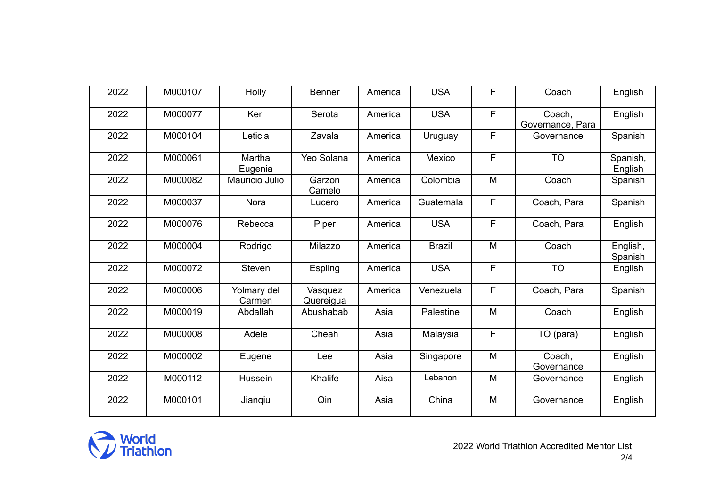| 2022 | M000107 | Holly                 | <b>Benner</b>        | America | <b>USA</b>    | F  | Coach                      | English             |
|------|---------|-----------------------|----------------------|---------|---------------|----|----------------------------|---------------------|
| 2022 | M000077 | Keri                  | Serota               | America | <b>USA</b>    | F. | Coach,<br>Governance, Para | English             |
| 2022 | M000104 | Leticia               | Zavala               | America | Uruguay       | F  | Governance                 | Spanish             |
| 2022 | M000061 | Martha<br>Eugenia     | Yeo Solana           | America | Mexico        | F  | <b>TO</b>                  | Spanish,<br>English |
| 2022 | M000082 | Mauricio Julio        | Garzon<br>Camelo     | America | Colombia      | M  | Coach                      | Spanish             |
| 2022 | M000037 | Nora                  | Lucero               | America | Guatemala     | F  | Coach, Para                | Spanish             |
| 2022 | M000076 | Rebecca               | Piper                | America | <b>USA</b>    | F  | Coach, Para                | English             |
| 2022 | M000004 | Rodrigo               | Milazzo              | America | <b>Brazil</b> | M  | Coach                      | English,<br>Spanish |
| 2022 | M000072 | Steven                | Espling              | America | <b>USA</b>    | F. | <b>TO</b>                  | English             |
| 2022 | M000006 | Yolmary del<br>Carmen | Vasquez<br>Quereigua | America | Venezuela     | F  | Coach, Para                | Spanish             |
| 2022 | M000019 | Abdallah              | Abushabab            | Asia    | Palestine     | M  | Coach                      | English             |
| 2022 | M000008 | Adele                 | Cheah                | Asia    | Malaysia      | F  | TO (para)                  | English             |
| 2022 | M000002 | Eugene                | Lee                  | Asia    | Singapore     | M  | Coach,<br>Governance       | English             |
| 2022 | M000112 | Hussein               | Khalife              | Aisa    | Lebanon       | M  | Governance                 | English             |
| 2022 | M000101 | Jianqiu               | Qin                  | Asia    | China         | M  | Governance                 | English             |

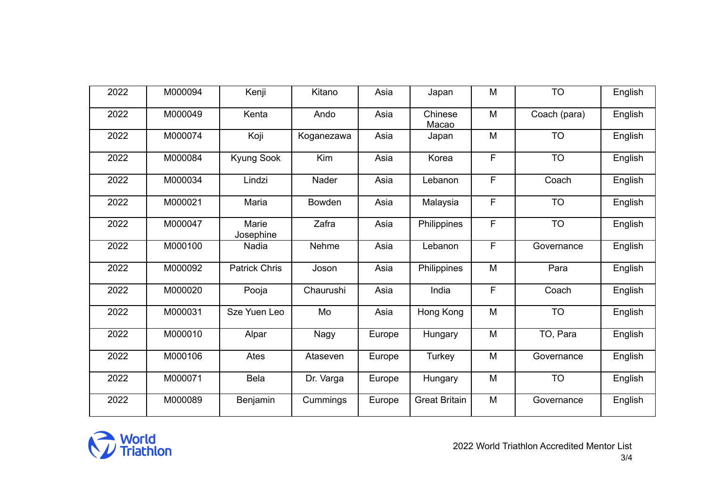| 2022 | M000094 | Kenji                | Kitano        | Asia   | Japan                | M | <b>TO</b>    | English |
|------|---------|----------------------|---------------|--------|----------------------|---|--------------|---------|
| 2022 | M000049 | Kenta                | Ando          | Asia   | Chinese<br>Macao     | M | Coach (para) | English |
| 2022 | M000074 | Koji                 | Koganezawa    | Asia   | Japan                | M | <b>TO</b>    | English |
| 2022 | M000084 | Kyung Sook           | Kim           | Asia   | Korea                | F | <b>TO</b>    | English |
| 2022 | M000034 | Lindzi               | Nader         | Asia   | Lebanon              | F | Coach        | English |
| 2022 | M000021 | Maria                | <b>Bowden</b> | Asia   | Malaysia             | F | <b>TO</b>    | English |
| 2022 | M000047 | Marie<br>Josephine   | Zafra         | Asia   | Philippines          | F | <b>TO</b>    | English |
| 2022 | M000100 | Nadia                | Nehme         | Asia   | Lebanon              | F | Governance   | English |
| 2022 | M000092 | <b>Patrick Chris</b> | Joson         | Asia   | Philippines          | M | Para         | English |
| 2022 | M000020 | Pooja                | Chaurushi     | Asia   | India                | F | Coach        | English |
| 2022 | M000031 | Sze Yuen Leo         | Mo            | Asia   | Hong Kong            | M | <b>TO</b>    | English |
| 2022 | M000010 | Alpar                | Nagy          | Europe | Hungary              | M | TO, Para     | English |
| 2022 | M000106 | Ates                 | Ataseven      | Europe | <b>Turkey</b>        | M | Governance   | English |
| 2022 | M000071 | <b>Bela</b>          | Dr. Varga     | Europe | Hungary              | M | <b>TO</b>    | English |
| 2022 | M000089 | Benjamin             | Cummings      | Europe | <b>Great Britain</b> | M | Governance   | English |